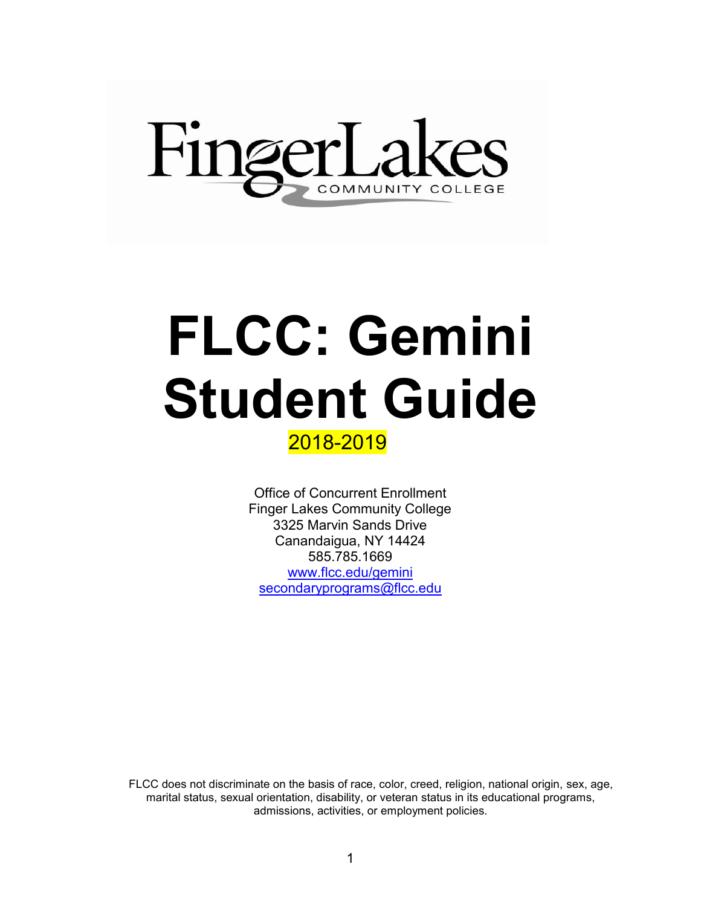

# **FLCC: Gemini Student Guide**

# 2018-2019

Office of Concurrent Enrollment Finger Lakes Community College 3325 Marvin Sands Drive Canandaigua, NY 14424 585.785.1669 [www.flcc.edu/gemini](http://www.flcc.edu/gemini) [secondaryprograms@flcc.edu](mailto:secondaryprograms@flcc.edu)

FLCC does not discriminate on the basis of race, color, creed, religion, national origin, sex, age, marital status, sexual orientation, disability, or veteran status in its educational programs, admissions, activities, or employment policies.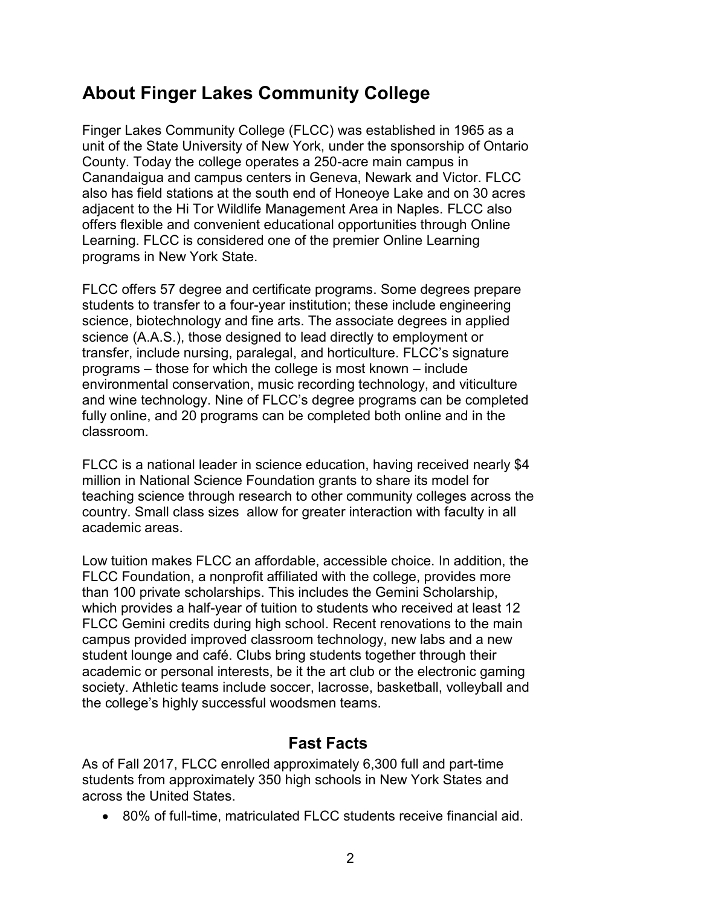# **About Finger Lakes Community College**

Finger Lakes Community College (FLCC) was established in 1965 as a unit of the State University of New York, under the sponsorship of Ontario County. Today the college operates a 250-acre main campus in Canandaigua and campus centers in Geneva, Newark and Victor. FLCC also has field stations at the south end of Honeoye Lake and on 30 acres adjacent to the Hi Tor Wildlife Management Area in Naples. FLCC also offers flexible and convenient educational opportunities through Online Learning. FLCC is considered one of the premier Online Learning programs in New York State.

FLCC offers 57 degree and certificate programs. Some degrees prepare students to transfer to a four-year institution; these include engineering science, biotechnology and fine arts. The associate degrees in applied science (A.A.S.), those designed to lead directly to employment or transfer, include nursing, paralegal, and horticulture. FLCC's signature programs – those for which the college is most known – include environmental conservation, music recording technology, and viticulture and wine technology. Nine of FLCC's degree programs can be completed fully online, and 20 programs can be completed both online and in the classroom.

FLCC is a national leader in science education, having received nearly \$4 million in National Science Foundation grants to share its model for teaching science through research to other community colleges across the country. Small class sizes allow for greater interaction with faculty in all academic areas.

Low tuition makes FLCC an affordable, accessible choice. In addition, the FLCC Foundation, a nonprofit affiliated with the college, provides more than 100 private scholarships. This includes the Gemini Scholarship, which provides a half-year of tuition to students who received at least 12 FLCC Gemini credits during high school. Recent renovations to the main campus provided improved classroom technology, new labs and a new student lounge and café. Clubs bring students together through their academic or personal interests, be it the art club or the electronic gaming society. Athletic teams include soccer, lacrosse, basketball, volleyball and the college's highly successful woodsmen teams.

#### **Fast Facts**

As of Fall 2017, FLCC enrolled approximately 6,300 full and part-time students from approximately 350 high schools in New York States and across the United States.

80% of full-time, matriculated FLCC students receive financial aid.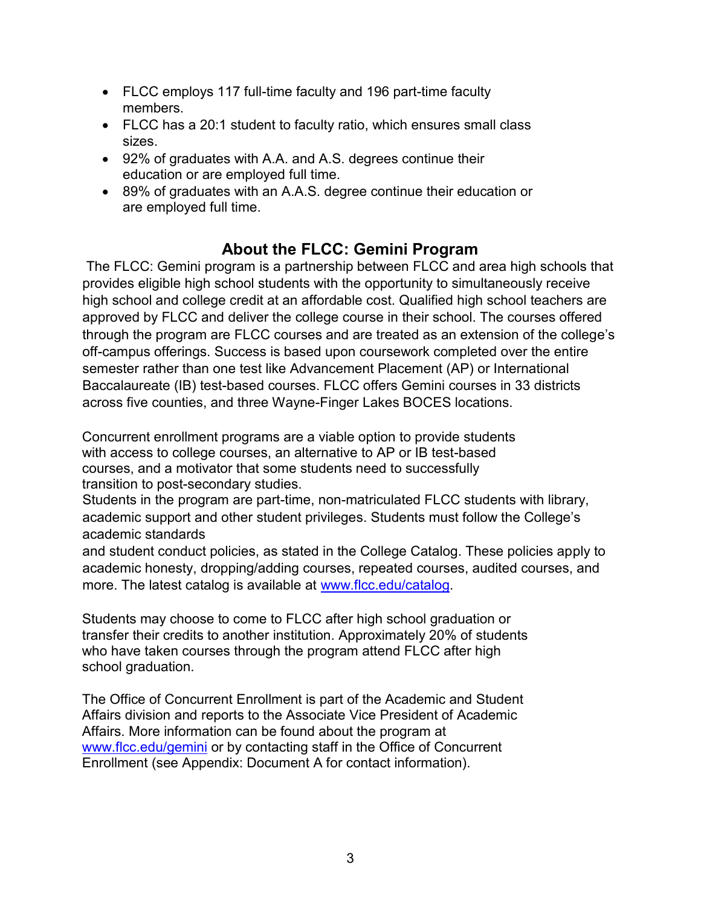- FLCC employs 117 full-time faculty and 196 part-time faculty members.
- FLCC has a 20:1 student to faculty ratio, which ensures small class sizes.
- 92% of graduates with A.A. and A.S. degrees continue their education or are employed full time.
- 89% of graduates with an A.A.S. degree continue their education or are employed full time.

## **About the FLCC: Gemini Program**

 The FLCC: Gemini program is a partnership between FLCC and area high schools that provides eligible high school students with the opportunity to simultaneously receive high school and college credit at an affordable cost. Qualified high school teachers are approved by FLCC and deliver the college course in their school. The courses offered through the program are FLCC courses and are treated as an extension of the college's off-campus offerings. Success is based upon coursework completed over the entire semester rather than one test like Advancement Placement (AP) or International Baccalaureate (IB) test-based courses. FLCC offers Gemini courses in 33 districts across five counties, and three Wayne-Finger Lakes BOCES locations.

Concurrent enrollment programs are a viable option to provide students with access to college courses, an alternative to AP or IB test-based courses, and a motivator that some students need to successfully transition to post-secondary studies.

Students in the program are part-time, non-matriculated FLCC students with library, academic support and other student privileges. Students must follow the College's academic standards

and student conduct policies, as stated in the College Catalog. These policies apply to academic honesty, dropping/adding courses, repeated courses, audited courses, and more. The latest catalog is available at [www.flcc.edu/catalog.](http://www.flcc.edu/catalog) 

Students may choose to come to FLCC after high school graduation or transfer their credits to another institution. Approximately 20% of students who have taken courses through the program attend FLCC after high school graduation.

The Office of Concurrent Enrollment is part of the Academic and Student Affairs division and reports to the Associate Vice President of Academic Affairs. More information can be found about the program at [www.flcc.edu/gemini](http://www.flcc.edu/gemini) [o](http://www.flcc.edu/gemini)r by contacting staff in the Office of Concurrent Enrollment (see Appendix: Document A for contact information).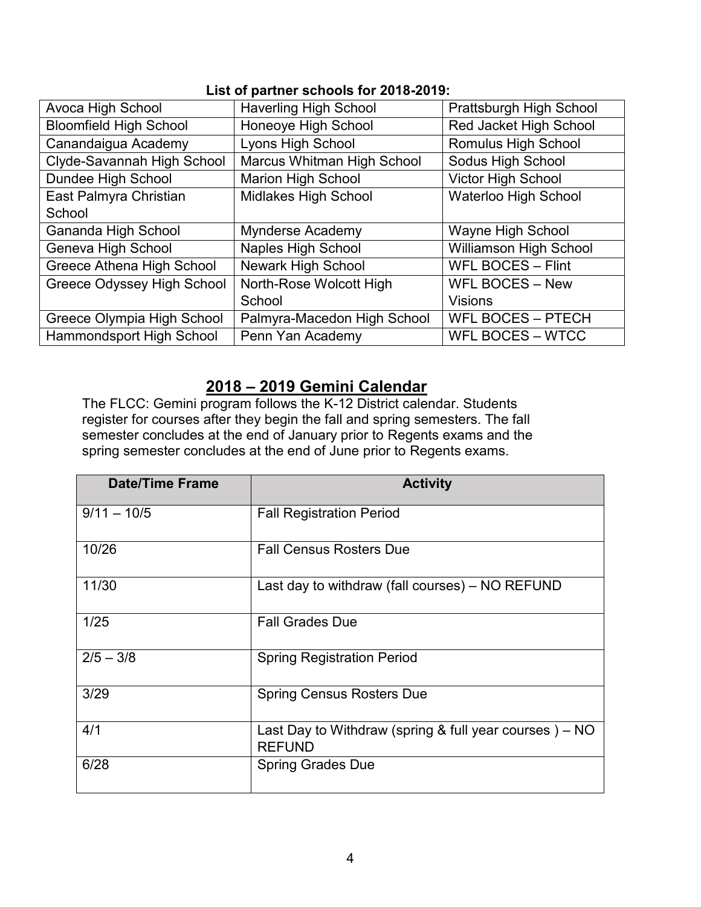#### **List of partner schools for 2018-2019:**

| Avoca High School                 | <b>Haverling High School</b> | Prattsburgh High School       |  |
|-----------------------------------|------------------------------|-------------------------------|--|
| <b>Bloomfield High School</b>     | Honeoye High School          | Red Jacket High School        |  |
| Canandaigua Academy               | Lyons High School            | Romulus High School           |  |
| Clyde-Savannah High School        | Marcus Whitman High School   | Sodus High School             |  |
| Dundee High School                | <b>Marion High School</b>    | <b>Victor High School</b>     |  |
| East Palmyra Christian            | <b>Midlakes High School</b>  | <b>Waterloo High School</b>   |  |
| School                            |                              |                               |  |
| Gananda High School               | <b>Mynderse Academy</b>      | Wayne High School             |  |
| Geneva High School                | <b>Naples High School</b>    | <b>Williamson High School</b> |  |
| Greece Athena High School         | <b>Newark High School</b>    | <b>WFL BOCES - Flint</b>      |  |
| <b>Greece Odyssey High School</b> | North-Rose Wolcott High      | <b>WFL BOCES - New</b>        |  |
|                                   | School                       | <b>Visions</b>                |  |
| Greece Olympia High School        | Palmyra-Macedon High School  | <b>WFL BOCES - PTECH</b>      |  |
| Hammondsport High School          | Penn Yan Academy             | <b>WFL BOCES - WTCC</b>       |  |

#### **2018 – 2019 Gemini Calendar**

The FLCC: Gemini program follows the K-12 District calendar. Students register for courses after they begin the fall and spring semesters. The fall semester concludes at the end of January prior to Regents exams and the spring semester concludes at the end of June prior to Regents exams.

| <b>Date/Time Frame</b> | <b>Activity</b>                                                           |
|------------------------|---------------------------------------------------------------------------|
| $9/11 - 10/5$          | <b>Fall Registration Period</b>                                           |
| 10/26                  | <b>Fall Census Rosters Due</b>                                            |
| 11/30                  | Last day to withdraw (fall courses) – NO REFUND                           |
| 1/25                   | <b>Fall Grades Due</b>                                                    |
| $2/5 - 3/8$            | <b>Spring Registration Period</b>                                         |
| 3/29                   | <b>Spring Census Rosters Due</b>                                          |
| 4/1                    | Last Day to Withdraw (spring $&$ full year courses) – NO<br><b>REFUND</b> |
| 6/28                   | <b>Spring Grades Due</b>                                                  |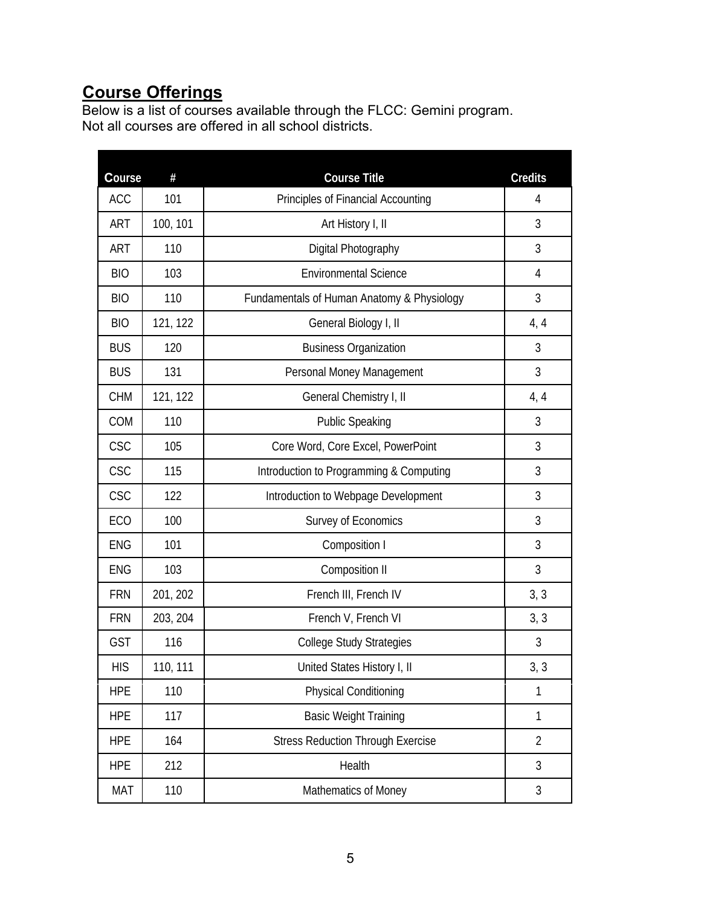# **Course Offerings**

Below is a list of courses available through the FLCC: Gemini program. Not all courses are offered in all school districts.

| <b>C</b> ourse | $\#$     | Course Title                               | Credits        |
|----------------|----------|--------------------------------------------|----------------|
| ACC            | 101      | Principles of Financial Accounting         | $\overline{4}$ |
| <b>ART</b>     | 100, 101 | Art History I, II                          | 3              |
| ART            | 110      | Digital Photography                        | 3              |
| <b>BIO</b>     | 103      | <b>Environmental Science</b>               | 4              |
| <b>BIO</b>     | 110      | Fundamentals of Human Anatomy & Physiology | 3              |
| <b>BIO</b>     | 121, 122 | General Biology I, II                      | 4, 4           |
| <b>BUS</b>     | 120      | <b>Business Organization</b>               | 3              |
| <b>BUS</b>     | 131      | Personal Money Management                  | 3              |
| <b>CHM</b>     | 121, 122 | General Chemistry I, II                    | 4, 4           |
| COM            | 110      | Public Speaking                            | 3              |
| CSC            | 105      | Core Word, Core Excel, PowerPoint          | 3              |
| <b>CSC</b>     | 115      | Introduction to Programming & Computing    | 3              |
| CSC            | 122      | Introduction to Webpage Development        | 3              |
| ECO            | 100      | Survey of Economics                        | 3              |
| ENG            | 101      | Composition I                              | 3              |
| ENG            | 103      | Composition II                             | 3              |
| <b>FRN</b>     | 201, 202 | French III, French IV                      | 3, 3           |
| <b>FRN</b>     | 203, 204 | French V, French VI                        | 3, 3           |
| <b>GST</b>     | 116      | College Study Strategies                   | 3              |
| <b>HIS</b>     | 110, 111 | United States History I, II                | 3, 3           |
| <b>HPE</b>     | 110      | <b>Physical Conditioning</b>               | 1              |
| <b>HPE</b>     | 117      | <b>Basic Weight Training</b>               | $\mathbf{1}$   |
| <b>HPE</b>     | 164      | <b>Stress Reduction Through Exercise</b>   | $\overline{2}$ |
| <b>HPE</b>     | 212      | Health                                     | 3              |
| <b>MAT</b>     | 110      | Mathematics of Money                       | 3              |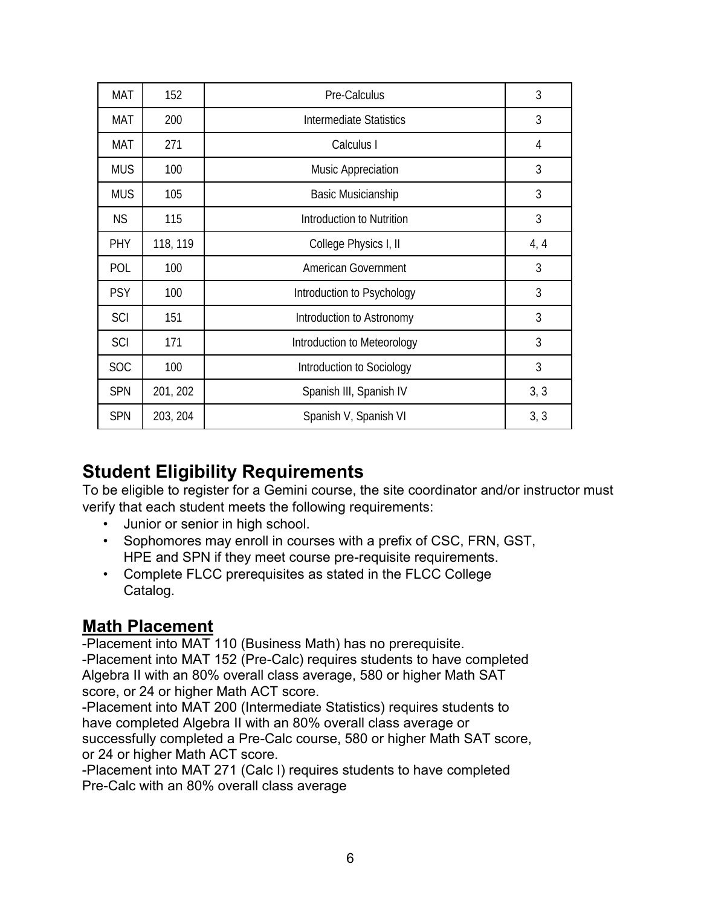| <b>MAT</b> | 152      | Pre-Calculus                | 3    |
|------------|----------|-----------------------------|------|
| <b>MAT</b> | 200      | Intermediate Statistics     | 3    |
| <b>MAT</b> | 271      | Calculus I                  | 4    |
| <b>MUS</b> | 100      | Music Appreciation          | 3    |
| <b>MUS</b> | 105      | Basic Musicianship          | 3    |
| <b>NS</b>  | 115      | Introduction to Nutrition   | 3    |
| PHY        | 118, 119 | College Physics I, II       | 4, 4 |
| POL        | 100      | American Government         | 3    |
| <b>PSY</b> | 100      | Introduction to Psychology  | 3    |
| SCI        | 151      | Introduction to Astronomy   | 3    |
| SCI        | 171      | Introduction to Meteorology | 3    |
| <b>SOC</b> | 100      | Introduction to Sociology   | 3    |
| <b>SPN</b> | 201, 202 | Spanish III, Spanish IV     | 3, 3 |
| <b>SPN</b> | 203, 204 | Spanish V, Spanish VI       | 3, 3 |

# **Student Eligibility Requirements**

To be eligible to register for a Gemini course, the site coordinator and/or instructor must verify that each student meets the following requirements:

- Junior or senior in high school.
- Sophomores may enroll in courses with a prefix of CSC, FRN, GST, HPE and SPN if they meet course pre-requisite requirements.
- Complete FLCC prerequisites as stated in the FLCC College Catalog.

## **Math Placement**

-Placement into MAT 110 (Business Math) has no prerequisite. -Placement into MAT 152 (Pre-Calc) requires students to have completed Algebra II with an 80% overall class average, 580 or higher Math SAT score, or 24 or higher Math ACT score.

-Placement into MAT 200 (Intermediate Statistics) requires students to have completed Algebra II with an 80% overall class average or successfully completed a Pre-Calc course, 580 or higher Math SAT score, or 24 or higher Math ACT score.

-Placement into MAT 271 (Calc I) requires students to have completed Pre-Calc with an 80% overall class average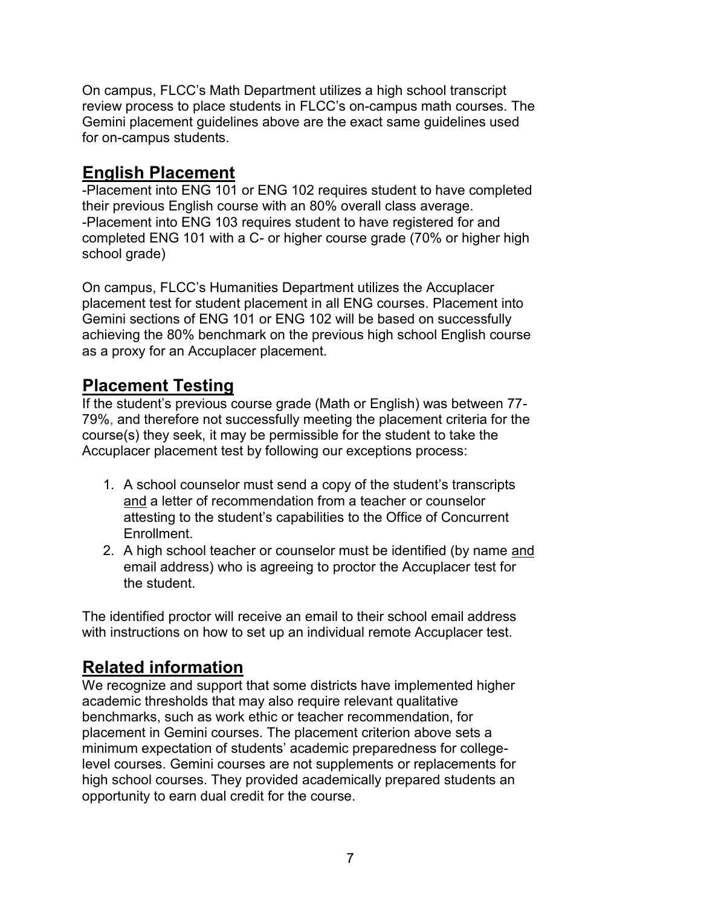On campus, FLCC's Math Department utilizes a high school transcript review process to place students in FLCC's on-campus math courses. The Gemini placement guidelines above are the exact same guidelines used for on-campus students.

## **English Placement**

-Placement into ENG 101 or ENG 102 requires student to have completed their previous English course with an 80% overall class average. -Placement into ENG 103 requires student to have registered for and completed ENG 101 with a C- or higher course grade (70% or higher high school grade)

On campus, FLCC's Humanities Department utilizes the Accuplacer placement test for student placement in all ENG courses. Placement into Gemini sections of ENG 101 or ENG 102 will be based on successfully achieving the 80% benchmark on the previous high school English course as a proxy for an Accuplacer placement.

## **Placement Testing**

If the student's previous course grade (Math or English) was between 77- 79%, and therefore not successfully meeting the placement criteria for the course(s) they seek, it may be permissible for the student to take the Accuplacer placement test by following our exceptions process:

- 1. A school counselor must send a copy of the student's transcripts and a letter of recommendation from a teacher or counselor attesting to the student's capabilities to the Office of Concurrent Enrollment.
- 2. A high school teacher or counselor must be identified (by name and email address) who is agreeing to proctor the Accuplacer test for the student.

The identified proctor will receive an email to their school email address with instructions on how to set up an individual remote Accuplacer test.

## **Related information**

We recognize and support that some districts have implemented higher academic thresholds that may also require relevant qualitative benchmarks, such as work ethic or teacher recommendation, for placement in Gemini courses. The placement criterion above sets a minimum expectation of students' academic preparedness for collegelevel courses. Gemini courses are not supplements or replacements for high school courses. They provided academically prepared students an opportunity to earn dual credit for the course.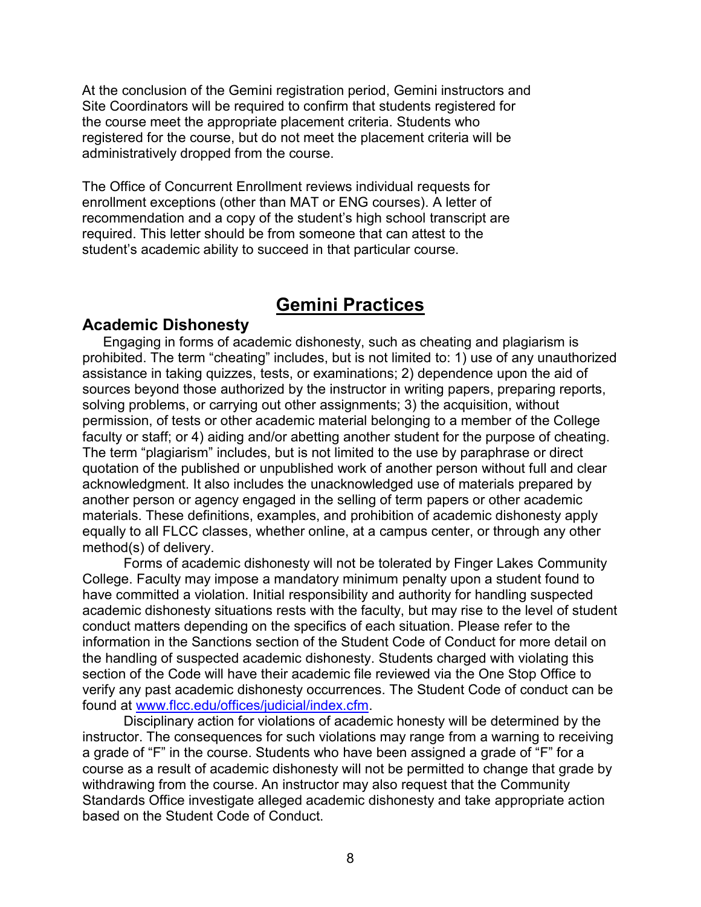At the conclusion of the Gemini registration period, Gemini instructors and Site Coordinators will be required to confirm that students registered for the course meet the appropriate placement criteria. Students who registered for the course, but do not meet the placement criteria will be administratively dropped from the course.

The Office of Concurrent Enrollment reviews individual requests for enrollment exceptions (other than MAT or ENG courses). A letter of recommendation and a copy of the student's high school transcript are required. This letter should be from someone that can attest to the student's academic ability to succeed in that particular course.

## **Gemini Practices**

#### **Academic Dishonesty**

Engaging in forms of academic dishonesty, such as cheating and plagiarism is prohibited. The term "cheating" includes, but is not limited to: 1) use of any unauthorized assistance in taking quizzes, tests, or examinations; 2) dependence upon the aid of sources beyond those authorized by the instructor in writing papers, preparing reports, solving problems, or carrying out other assignments; 3) the acquisition, without permission, of tests or other academic material belonging to a member of the College faculty or staff; or 4) aiding and/or abetting another student for the purpose of cheating. The term "plagiarism" includes, but is not limited to the use by paraphrase or direct quotation of the published or unpublished work of another person without full and clear acknowledgment. It also includes the unacknowledged use of materials prepared by another person or agency engaged in the selling of term papers or other academic materials. These definitions, examples, and prohibition of academic dishonesty apply equally to all FLCC classes, whether online, at a campus center, or through any other method(s) of delivery.

Forms of academic dishonesty will not be tolerated by Finger Lakes Community College. Faculty may impose a mandatory minimum penalty upon a student found to have committed a violation. Initial responsibility and authority for handling suspected academic dishonesty situations rests with the faculty, but may rise to the level of student conduct matters depending on the specifics of each situation. Please refer to the information in the Sanctions section of the Student Code of Conduct for more detail on the handling of suspected academic dishonesty. Students charged with violating this section of the Code will have their academic file reviewed via the One Stop Office to verify any past academic dishonesty occurrences. The Student Code of conduct can be found at [www.flcc.edu/offices/judicial/index.cfm.](http://www.flcc.edu/offices/judicial/index.cfm)

Disciplinary action for violations of academic honesty will be determined by the instructor. The consequences for such violations may range from a warning to receiving a grade of "F" in the course. Students who have been assigned a grade of "F" for a course as a result of academic dishonesty will not be permitted to change that grade by withdrawing from the course. An instructor may also request that the Community Standards Office investigate alleged academic dishonesty and take appropriate action based on the Student Code of Conduct.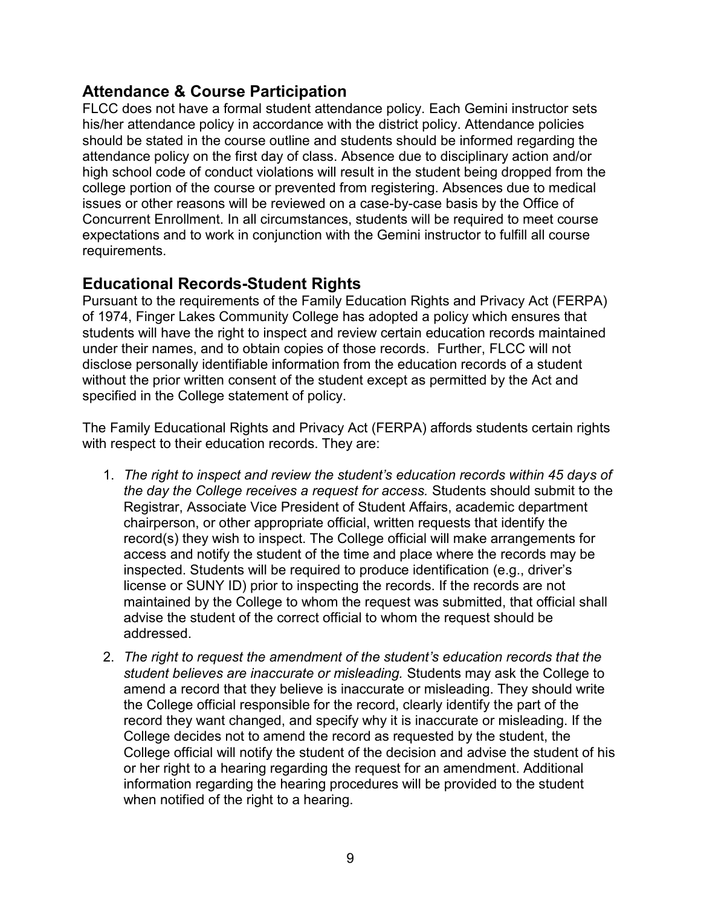#### **Attendance & Course Participation**

FLCC does not have a formal student attendance policy. Each Gemini instructor sets his/her attendance policy in accordance with the district policy. Attendance policies should be stated in the course outline and students should be informed regarding the attendance policy on the first day of class. Absence due to disciplinary action and/or high school code of conduct violations will result in the student being dropped from the college portion of the course or prevented from registering. Absences due to medical issues or other reasons will be reviewed on a case-by-case basis by the Office of Concurrent Enrollment. In all circumstances, students will be required to meet course expectations and to work in conjunction with the Gemini instructor to fulfill all course requirements.

#### **Educational Records-Student Rights**

Pursuant to the requirements of the Family Education Rights and Privacy Act (FERPA) of 1974, Finger Lakes Community College has adopted a policy which ensures that students will have the right to inspect and review certain education records maintained under their names, and to obtain copies of those records. Further, FLCC will not disclose personally identifiable information from the education records of a student without the prior written consent of the student except as permitted by the Act and specified in the College statement of policy.

The Family Educational Rights and Privacy Act (FERPA) affords students certain rights with respect to their education records. They are:

- 1. *The right to inspect and review the student's education records within 45 days of the day the College receives a request for access.* Students should submit to the Registrar, Associate Vice President of Student Affairs, academic department chairperson, or other appropriate official, written requests that identify the record(s) they wish to inspect. The College official will make arrangements for access and notify the student of the time and place where the records may be inspected. Students will be required to produce identification (e.g., driver's license or SUNY ID) prior to inspecting the records. If the records are not maintained by the College to whom the request was submitted, that official shall advise the student of the correct official to whom the request should be addressed.
- 2. *The right to request the amendment of the student's education records that the student believes are inaccurate or misleading.* Students may ask the College to amend a record that they believe is inaccurate or misleading. They should write the College official responsible for the record, clearly identify the part of the record they want changed, and specify why it is inaccurate or misleading. If the College decides not to amend the record as requested by the student, the College official will notify the student of the decision and advise the student of his or her right to a hearing regarding the request for an amendment. Additional information regarding the hearing procedures will be provided to the student when notified of the right to a hearing.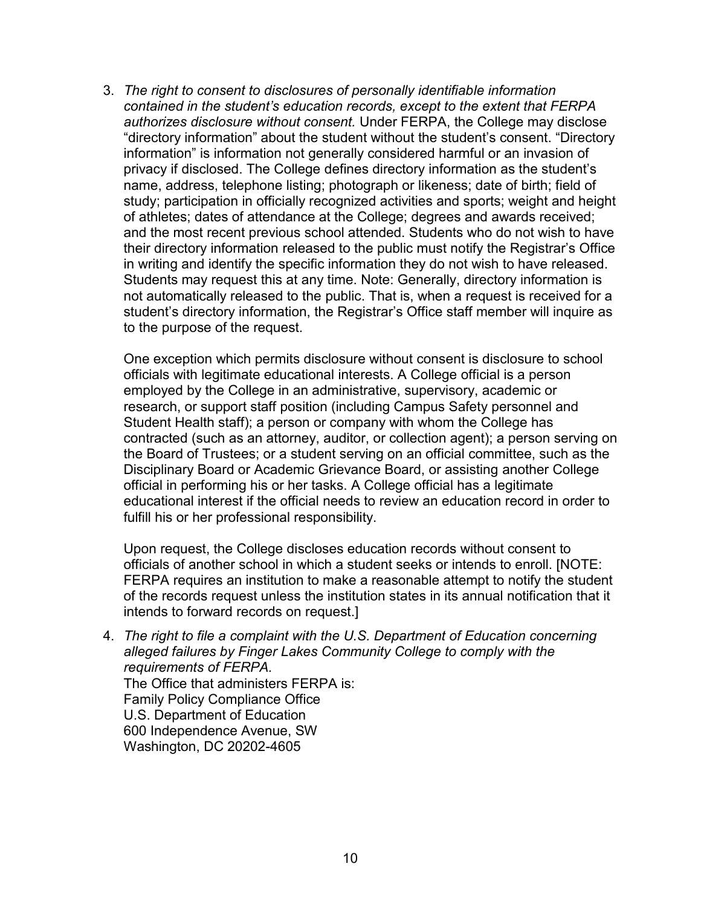3. *The right to consent to disclosures of personally identifiable information contained in the student's education records, except to the extent that FERPA authorizes disclosure without consent.* Under FERPA, the College may disclose "directory information" about the student without the student's consent. "Directory information" is information not generally considered harmful or an invasion of privacy if disclosed. The College defines directory information as the student's name, address, telephone listing; photograph or likeness; date of birth; field of study; participation in officially recognized activities and sports; weight and height of athletes; dates of attendance at the College; degrees and awards received; and the most recent previous school attended. Students who do not wish to have their directory information released to the public must notify the Registrar's Office in writing and identify the specific information they do not wish to have released. Students may request this at any time. Note: Generally, directory information is not automatically released to the public. That is, when a request is received for a student's directory information, the Registrar's Office staff member will inquire as to the purpose of the request.

One exception which permits disclosure without consent is disclosure to school officials with legitimate educational interests. A College official is a person employed by the College in an administrative, supervisory, academic or research, or support staff position (including Campus Safety personnel and Student Health staff); a person or company with whom the College has contracted (such as an attorney, auditor, or collection agent); a person serving on the Board of Trustees; or a student serving on an official committee, such as the Disciplinary Board or Academic Grievance Board, or assisting another College official in performing his or her tasks. A College official has a legitimate educational interest if the official needs to review an education record in order to fulfill his or her professional responsibility.

Upon request, the College discloses education records without consent to officials of another school in which a student seeks or intends to enroll. [NOTE: FERPA requires an institution to make a reasonable attempt to notify the student of the records request unless the institution states in its annual notification that it intends to forward records on request.]

4. *The right to file a complaint with the U.S. Department of Education concerning alleged failures by Finger Lakes Community College to comply with the requirements of FERPA.* The Office that administers FERPA is: Family Policy Compliance Office U.S. Department of Education 600 Independence Avenue, SW Washington, DC 20202-4605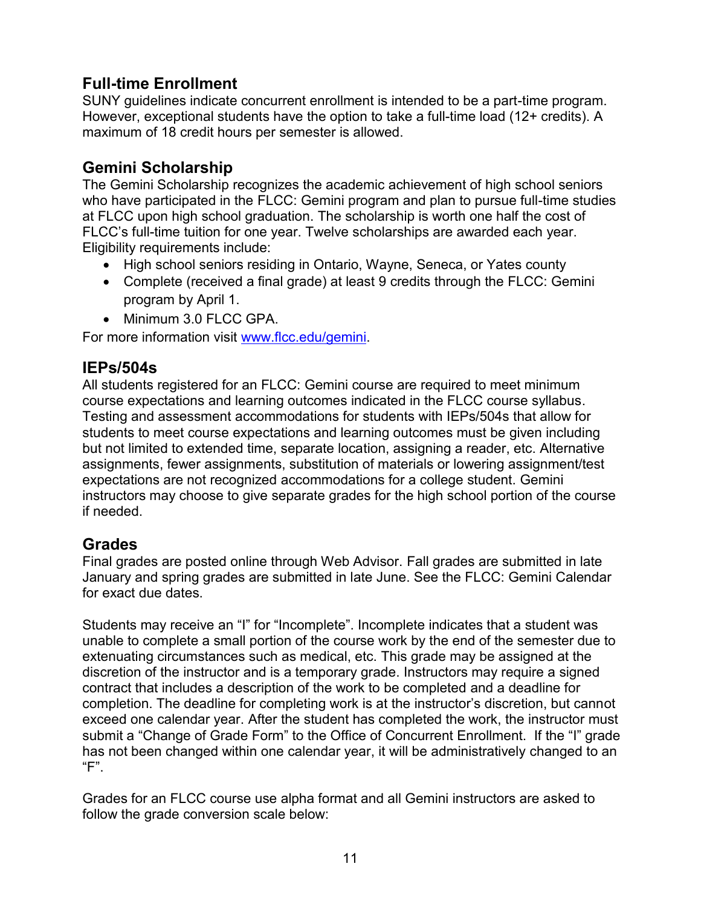## **Full-time Enrollment**

SUNY guidelines indicate concurrent enrollment is intended to be a part-time program. However, exceptional students have the option to take a full-time load (12+ credits). A maximum of 18 credit hours per semester is allowed.

#### **Gemini Scholarship**

The Gemini Scholarship recognizes the academic achievement of high school seniors who have participated in the FLCC: Gemini program and plan to pursue full-time studies at FLCC upon high school graduation. The scholarship is worth one half the cost of FLCC's full-time tuition for one year. Twelve scholarships are awarded each year. Eligibility requirements include:

- High school seniors residing in Ontario, Wayne, Seneca, or Yates county
- Complete (received a final grade) at least 9 credits through the FLCC: Gemini program by April 1.
- Minimum 3.0 FLCC GPA.

For more information visit [www.flcc.edu/gemini.](http://www.flcc.edu/gemini)

#### **IEPs/504s**

All students registered for an FLCC: Gemini course are required to meet minimum course expectations and learning outcomes indicated in the FLCC course syllabus. Testing and assessment accommodations for students with IEPs/504s that allow for students to meet course expectations and learning outcomes must be given including but not limited to extended time, separate location, assigning a reader, etc. Alternative assignments, fewer assignments, substitution of materials or lowering assignment/test expectations are not recognized accommodations for a college student. Gemini instructors may choose to give separate grades for the high school portion of the course if needed.

#### **Grades**

Final grades are posted online through Web Advisor. Fall grades are submitted in late January and spring grades are submitted in late June. See the FLCC: Gemini Calendar for exact due dates.

Students may receive an "I" for "Incomplete". Incomplete indicates that a student was unable to complete a small portion of the course work by the end of the semester due to extenuating circumstances such as medical, etc. This grade may be assigned at the discretion of the instructor and is a temporary grade. Instructors may require a signed contract that includes a description of the work to be completed and a deadline for completion. The deadline for completing work is at the instructor's discretion, but cannot exceed one calendar year. After the student has completed the work, the instructor must submit a "Change of Grade Form" to the Office of Concurrent Enrollment. If the "I" grade has not been changed within one calendar year, it will be administratively changed to an "F".

Grades for an FLCC course use alpha format and all Gemini instructors are asked to follow the grade conversion scale below: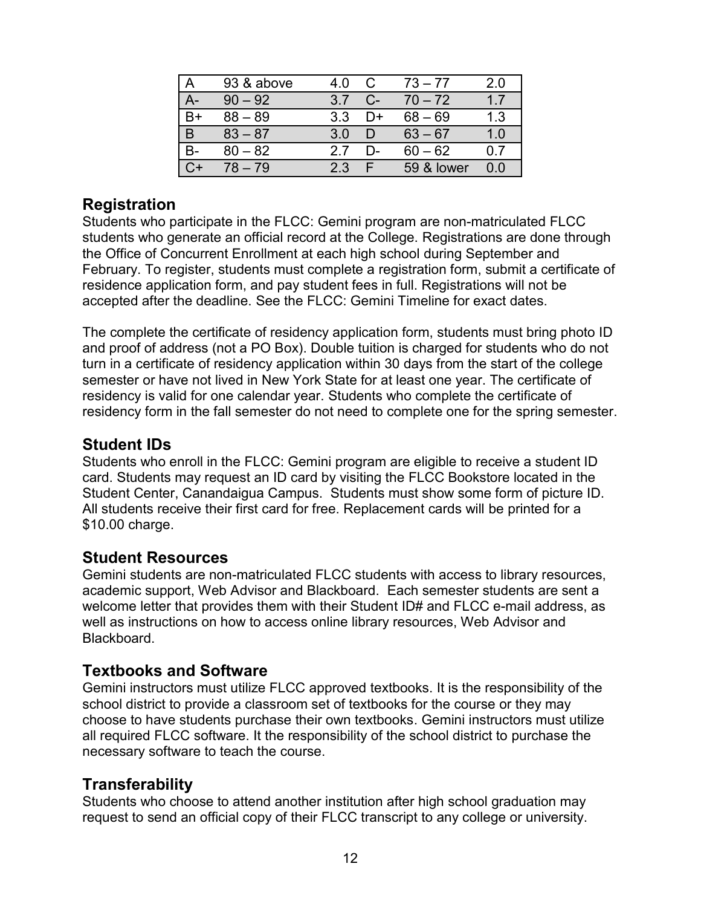|       | 93 & above | 40  | C    | $73 - 77$             | 2.0 |
|-------|------------|-----|------|-----------------------|-----|
| А-    | $90 - 92$  | 37  | $C-$ | $70 - 72$             | 17  |
| B+    | $88 - 89$  | 3.3 | D+   | $68 - 69$             | 1.3 |
| B     | $83 - 87$  | 3 Q |      | $63 - 67$             | 1.0 |
| $B -$ | $80 - 82$  | 27  | D-   | $60 - 62$             | ი 7 |
| Ր+    | 78 – 79    | 23  |      | <b>59 &amp; lower</b> | 0.0 |

#### **Registration**

Students who participate in the FLCC: Gemini program are non-matriculated FLCC students who generate an official record at the College. Registrations are done through the Office of Concurrent Enrollment at each high school during September and February. To register, students must complete a registration form, submit a certificate of residence application form, and pay student fees in full. Registrations will not be accepted after the deadline. See the FLCC: Gemini Timeline for exact dates.

The complete the certificate of residency application form, students must bring photo ID and proof of address (not a PO Box). Double tuition is charged for students who do not turn in a certificate of residency application within 30 days from the start of the college semester or have not lived in New York State for at least one year. The certificate of residency is valid for one calendar year. Students who complete the certificate of residency form in the fall semester do not need to complete one for the spring semester.

#### **Student IDs**

Students who enroll in the FLCC: Gemini program are eligible to receive a student ID card. Students may request an ID card by visiting the FLCC Bookstore located in the Student Center, Canandaigua Campus. Students must show some form of picture ID. All students receive their first card for free. Replacement cards will be printed for a \$10.00 charge.

#### **Student Resources**

Gemini students are non-matriculated FLCC students with access to library resources, academic support, Web Advisor and Blackboard. Each semester students are sent a welcome letter that provides them with their Student ID# and FLCC e-mail address, as well as instructions on how to access online library resources, Web Advisor and Blackboard.

#### **Textbooks and Software**

Gemini instructors must utilize FLCC approved textbooks. It is the responsibility of the school district to provide a classroom set of textbooks for the course or they may choose to have students purchase their own textbooks. Gemini instructors must utilize all required FLCC software. It the responsibility of the school district to purchase the necessary software to teach the course.

#### **Transferability**

Students who choose to attend another institution after high school graduation may request to send an official copy of their FLCC transcript to any college or university.